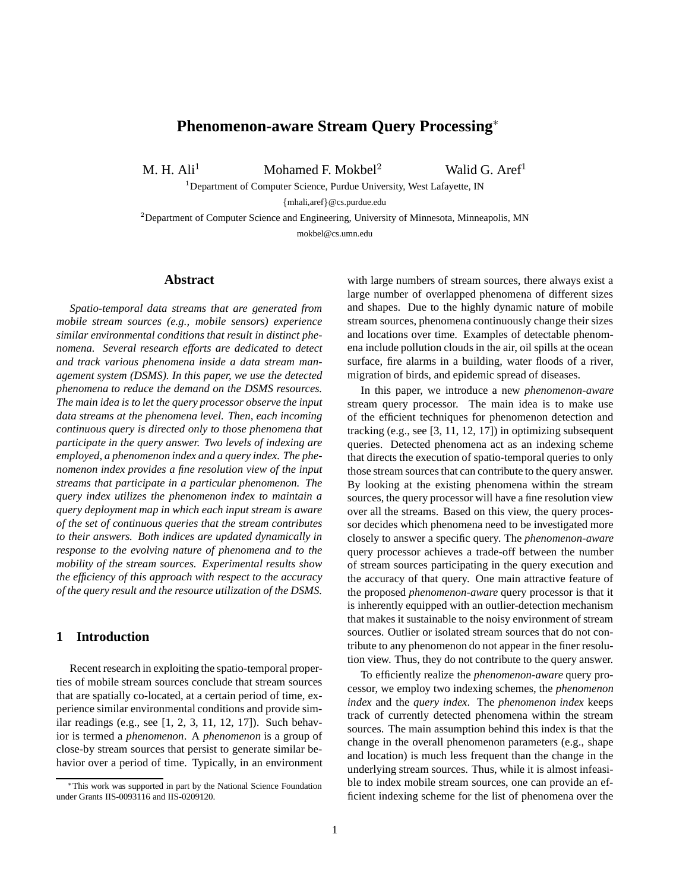# **Phenomenon-aware Stream Query Processing**<sup>∗</sup>

M. H. Ali<sup>1</sup> Mohamed F. Mokbel<sup>2</sup> Walid G. Aref<sup>1</sup>

<sup>1</sup>Department of Computer Science, Purdue University, West Lafayette, IN

{mhali,aref}@cs.purdue.edu

<sup>2</sup>Department of Computer Science and Engineering, University of Minnesota, Minneapolis, MN

mokbel@cs.umn.edu

## **Abstract**

*Spatio-temporal data streams that are generated from mobile stream sources (e.g., mobile sensors) experience similar environmental conditions that result in distinct phenomena. Several research efforts are dedicated to detect and track various phenomena inside a data stream management system (DSMS). In this paper, we use the detected phenomena to reduce the demand on the DSMS resources. The main idea is to let the query processor observe the input data streams at the phenomena level. Then, each incoming continuous query is directed only to those phenomena that participate in the query answer. Two levels of indexing are employed, a phenomenon index and a query index. The phenomenon index provides a fine resolution view of the input streams that participate in a particular phenomenon. The query index utilizes the phenomenon index to maintain a query deployment map in which each input stream is aware of the set of continuous queries that the stream contributes to their answers. Both indices are updated dynamically in response to the evolving nature of phenomena and to the mobility of the stream sources. Experimental results show the efficiency of this approach with respect to the accuracy of the query result and the resource utilization of the DSMS.*

# **1 Introduction**

Recent research in exploiting the spatio-temporal properties of mobile stream sources conclude that stream sources that are spatially co-located, at a certain period of time, experience similar environmental conditions and provide similar readings (e.g., see [1, 2, 3, 11, 12, 17]). Such behavior is termed a *phenomenon*. A *phenomenon* is a group of close-by stream sources that persist to generate similar behavior over a period of time. Typically, in an environment

with large numbers of stream sources, there always exist a large number of overlapped phenomena of different sizes and shapes. Due to the highly dynamic nature of mobile stream sources, phenomena continuously change their sizes and locations over time. Examples of detectable phenomena include pollution clouds in the air, oil spills at the ocean surface, fire alarms in a building, water floods of a river, migration of birds, and epidemic spread of diseases.

In this paper, we introduce a new *phenomenon-aware* stream query processor. The main idea is to make use of the efficient techniques for phenomenon detection and tracking (e.g., see [3, 11, 12, 17]) in optimizing subsequent queries. Detected phenomena act as an indexing scheme that directs the execution of spatio-temporal queries to only those stream sources that can contribute to the query answer. By looking at the existing phenomena within the stream sources, the query processor will have a fine resolution view over all the streams. Based on this view, the query processor decides which phenomena need to be investigated more closely to answer a specific query. The *phenomenon-aware* query processor achieves a trade-off between the number of stream sources participating in the query execution and the accuracy of that query. One main attractive feature of the proposed *phenomenon-aware* query processor is that it is inherently equipped with an outlier-detection mechanism that makes it sustainable to the noisy environment of stream sources. Outlier or isolated stream sources that do not contribute to any phenomenon do not appear in the finer resolution view. Thus, they do not contribute to the query answer.

To efficiently realize the *phenomenon-aware* query processor, we employ two indexing schemes, the *phenomenon index* and the *query index*. The *phenomenon index* keeps track of currently detected phenomena within the stream sources. The main assumption behind this index is that the change in the overall phenomenon parameters (e.g., shape and location) is much less frequent than the change in the underlying stream sources. Thus, while it is almost infeasible to index mobile stream sources, one can provide an efficient indexing scheme for the list of phenomena over the

<sup>∗</sup>This work was supported in part by the National Science Foundation under Grants IIS-0093116 and IIS-0209120.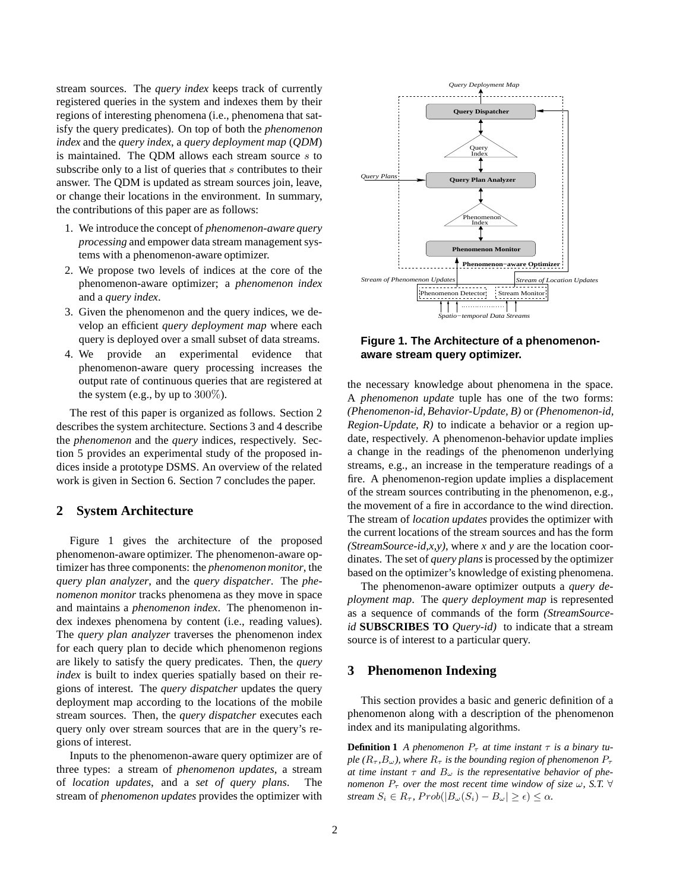stream sources. The *query index* keeps track of currently registered queries in the system and indexes them by their regions of interesting phenomena (i.e., phenomena that satisfy the query predicates). On top of both the *phenomenon index* and the *query index*, a *query deployment map* (*QDM*) is maintained. The QDM allows each stream source s to subscribe only to a list of queries that s contributes to their answer. The QDM is updated as stream sources join, leave, or change their locations in the environment. In summary, the contributions of this paper are as follows:

- 1. We introduce the concept of *phenomenon-aware query processing* and empower data stream management systems with a phenomenon-aware optimizer.
- 2. We propose two levels of indices at the core of the phenomenon-aware optimizer; a *phenomenon index* and a *query index*.
- 3. Given the phenomenon and the query indices, we develop an efficient *query deployment map* where each query is deployed over a small subset of data streams.
- 4. We provide an experimental evidence that phenomenon-aware query processing increases the output rate of continuous queries that are registered at the system (e.g., by up to 300%).

The rest of this paper is organized as follows. Section 2 describes the system architecture. Sections 3 and 4 describe the *phenomenon* and the *query* indices, respectively. Section 5 provides an experimental study of the proposed indices inside a prototype DSMS. An overview of the related work is given in Section 6. Section 7 concludes the paper.

## **2 System Architecture**

Figure 1 gives the architecture of the proposed phenomenon-aware optimizer. The phenomenon-aware optimizer has three components: the *phenomenon monitor*, the *query plan analyzer*, and the *query dispatcher*. The *phenomenon monitor* tracks phenomena as they move in space and maintains a *phenomenon index*. The phenomenon index indexes phenomena by content (i.e., reading values). The *query plan analyzer* traverses the phenomenon index for each query plan to decide which phenomenon regions are likely to satisfy the query predicates. Then, the *query index* is built to index queries spatially based on their regions of interest. The *query dispatcher* updates the query deployment map according to the locations of the mobile stream sources. Then, the *query dispatcher* executes each query only over stream sources that are in the query's regions of interest.

Inputs to the phenomenon-aware query optimizer are of three types: a stream of *phenomenon updates*, a stream of *location updates*, and a *set of query plans*. The stream of *phenomenon updates* provides the optimizer with



**Figure 1. The Architecture of a phenomenonaware stream query optimizer.**

the necessary knowledge about phenomena in the space. A *phenomenon update* tuple has one of the two forms: *(Phenomenon-id, Behavior-Update, B)* or *(Phenomenon-id, Region-Update, R)* to indicate a behavior or a region update, respectively. A phenomenon-behavior update implies a change in the readings of the phenomenon underlying streams, e.g., an increase in the temperature readings of a fire. A phenomenon-region update implies a displacement of the stream sources contributing in the phenomenon, e.g., the movement of a fire in accordance to the wind direction. The stream of *location updates* provides the optimizer with the current locations of the stream sources and has the form *(StreamSource-id,x,y)*, where *x* and *y* are the location coordinates. The set of *query plans*is processed by the optimizer based on the optimizer's knowledge of existing phenomena.

The phenomenon-aware optimizer outputs a *query deployment map*. The *query deployment map* is represented as a sequence of commands of the form *(StreamSourceid* **SUBSCRIBES TO** *Query-id)* to indicate that a stream source is of interest to a particular query.

### **3 Phenomenon Indexing**

This section provides a basic and generic definition of a phenomenon along with a description of the phenomenon index and its manipulating algorithms.

**Definition 1** *A phenomenon*  $P_{\tau}$  *at time instant*  $\tau$  *is a binary tuple*  $(R_{\tau}, B_{\omega})$ , where  $R_{\tau}$  *is the bounding region of phenomenon*  $P_{\tau}$ *at time instant*  $\tau$  *and*  $B_{\omega}$  *is the representative behavior of phenomenon*  $P_{\tau}$  *over the most recent time window of size*  $\omega$ , *S.T.*  $\forall$ *stream*  $S_i \in R_{\tau}$ ,  $Prob(|B_{\omega}(S_i) - B_{\omega}| \geq \epsilon) \leq \alpha$ .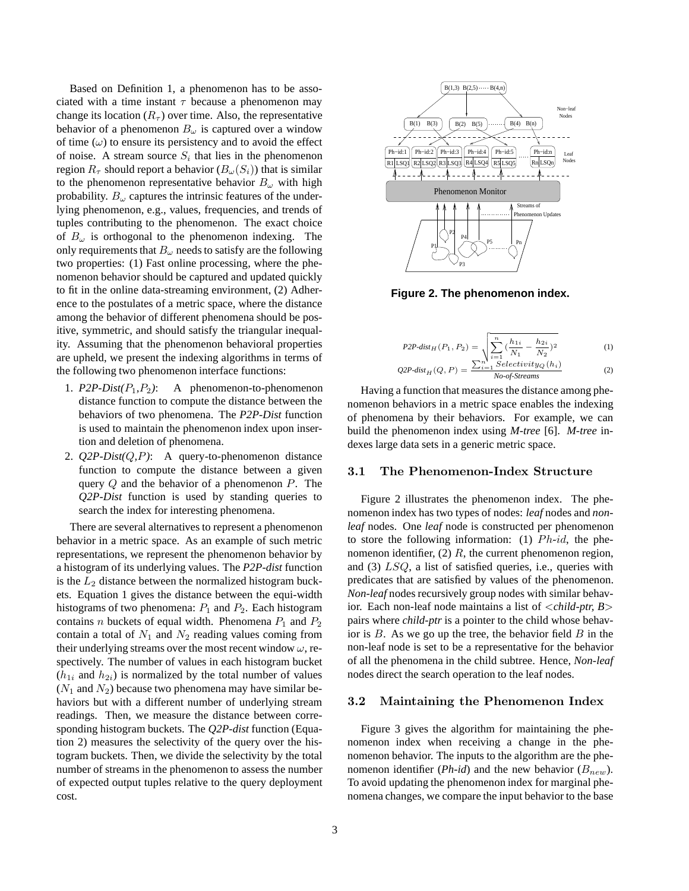Based on Definition 1, a phenomenon has to be associated with a time instant  $\tau$  because a phenomenon may change its location  $(R_{\tau})$  over time. Also, the representative behavior of a phenomenon  $B_{\omega}$  is captured over a window of time  $(\omega)$  to ensure its persistency and to avoid the effect of noise. A stream source  $S_i$  that lies in the phenomenon region  $R_{\tau}$  should report a behavior  $(B_{\omega}(S_i))$  that is similar to the phenomenon representative behavior  $B_{\omega}$  with high probability.  $B_{\omega}$  captures the intrinsic features of the underlying phenomenon, e.g., values, frequencies, and trends of tuples contributing to the phenomenon. The exact choice of  $B_{\omega}$  is orthogonal to the phenomenon indexing. The only requirements that  $B_{\omega}$  needs to satisfy are the following two properties: (1) Fast online processing, where the phenomenon behavior should be captured and updated quickly to fit in the online data-streaming environment, (2) Adherence to the postulates of a metric space, where the distance among the behavior of different phenomena should be positive, symmetric, and should satisfy the triangular inequality. Assuming that the phenomenon behavioral properties are upheld, we present the indexing algorithms in terms of the following two phenomenon interface functions:

- 1.  $P2P\text{-}Dist(P_1, P_2)$ : A phenomenon-to-phenomenon distance function to compute the distance between the behaviors of two phenomena. The *P2P-Dist* function is used to maintain the phenomenon index upon insertion and deletion of phenomena.
- 2. *Q2P-Dist(*Q*,*P*)*: A query-to-phenomenon distance function to compute the distance between a given query  $Q$  and the behavior of a phenomenon  $P$ . The *Q2P-Dist* function is used by standing queries to search the index for interesting phenomena.

There are several alternatives to represent a phenomenon behavior in a metric space. As an example of such metric representations, we represent the phenomenon behavior by a histogram of its underlying values. The *P2P-dist* function is the  $L_2$  distance between the normalized histogram buckets. Equation 1 gives the distance between the equi-width histograms of two phenomena:  $P_1$  and  $P_2$ . Each histogram contains *n* buckets of equal width. Phenomena  $P_1$  and  $P_2$ contain a total of  $N_1$  and  $N_2$  reading values coming from their underlying streams over the most recent window  $\omega$ , respectively. The number of values in each histogram bucket  $(h_{1i}$  and  $h_{2i})$  is normalized by the total number of values  $(N_1$  and  $N_2$ ) because two phenomena may have similar behaviors but with a different number of underlying stream readings. Then, we measure the distance between corresponding histogram buckets. The *Q2P-dist* function (Equation 2) measures the selectivity of the query over the histogram buckets. Then, we divide the selectivity by the total number of streams in the phenomenon to assess the number of expected output tuples relative to the query deployment cost.



**Figure 2. The phenomenon index.**

$$
P2P\text{-dist}_{H}(P_{1}, P_{2}) = \sqrt{\sum_{i=1}^{n} \left(\frac{h_{1i}}{N_{1}} - \frac{h_{2i}}{N_{2}}\right)^{2}}
$$
(1)  
Q2P\text{-dist}\_{H}(Q, P) =  $\frac{\sum_{i=1}^{n} Selectivity_{Q}(h_{i})}{No\text{-}of\text{-}Streams}$  (2)

Having a function that measures the distance among phenomenon behaviors in a metric space enables the indexing of phenomena by their behaviors. For example, we can build the phenomenon index using *M-tree* [6]. *M-tree* indexes large data sets in a generic metric space.

#### 3.1 The Phenomenon-Index Structure

Figure 2 illustrates the phenomenon index. The phenomenon index has two types of nodes: *leaf* nodes and *nonleaf* nodes. One *leaf* node is constructed per phenomenon to store the following information: (1)  $Ph-id$ , the phenomenon identifier,  $(2)$   $R$ , the current phenomenon region, and (3) LSQ, a list of satisfied queries, i.e., queries with predicates that are satisfied by values of the phenomenon. *Non-leaf* nodes recursively group nodes with similar behavior. Each non-leaf node maintains a list of <*child-ptr, B*> pairs where *child-ptr* is a pointer to the child whose behavior is  $B$ . As we go up the tree, the behavior field  $B$  in the non-leaf node is set to be a representative for the behavior of all the phenomena in the child subtree. Hence, *Non-leaf* nodes direct the search operation to the leaf nodes.

### 3.2 Maintaining the Phenomenon Index

Figure 3 gives the algorithm for maintaining the phenomenon index when receiving a change in the phenomenon behavior. The inputs to the algorithm are the phenomenon identifier (*Ph-id*) and the new behavior ( $B_{new}$ ). To avoid updating the phenomenon index for marginal phenomena changes, we compare the input behavior to the base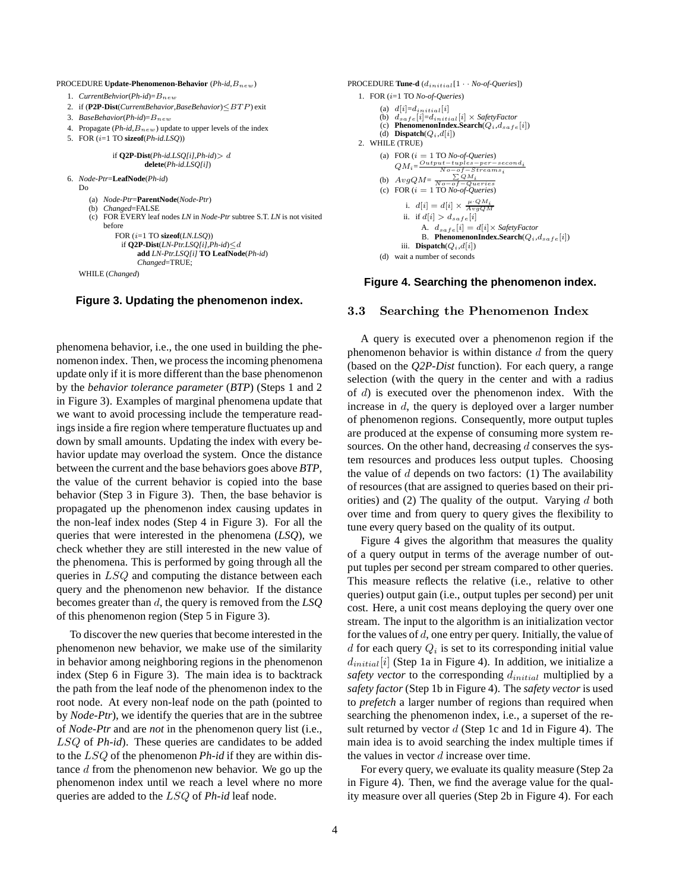```
PROCEDURE Update-Phenomenon-Behavior (Ph-id,Bnew)
   1. CurrentBehvior(Ph-id)=B_{new}2. if (P2P-Dist(CurrentBehavior,BaseBehavior)≤BT P ) exit
   3. BaseBehavior(Ph-id)=B_{new}4. Propagate (Ph-id, B_{new}) update to upper levels of the index
   5. FOR (i=1 TO sizeof(Ph-id.LSQ))
                if Q2P-Dist(Ph-id.LSQ[i],Ph-id)> d
                         delete(Ph-id.LSQ[i])
   6. Node-Ptr=LeafNode(Ph-id)
      Do
         (a) Node-Ptr=ParentNode(Node-Ptr)
         (b) Changed=FALSE
         (c) FOR EVERY leaf nodes LN in Node-Ptr subtree S.T. LN is not visited
             before
                FOR (i=1 TO sizeof(LN.LSQ))
                  if Q2P-Dist(LN-Ptr.LSQ[i],Ph-id)≤d
                       add LN-Ptr.LSQ[i] TO LeafNode(Ph-id)
                       Changed=TRUE;
```
WHILE (*Changed*)

#### **Figure 3. Updating the phenomenon index.**

phenomena behavior, i.e., the one used in building the phenomenon index. Then, we process the incoming phenomena update only if it is more different than the base phenomenon by the *behavior tolerance parameter* (*BTP*) (Steps 1 and 2 in Figure 3). Examples of marginal phenomena update that we want to avoid processing include the temperature readings inside a fire region where temperature fluctuates up and down by small amounts. Updating the index with every behavior update may overload the system. Once the distance between the current and the base behaviors goes above *BTP*, the value of the current behavior is copied into the base behavior (Step 3 in Figure 3). Then, the base behavior is propagated up the phenomenon index causing updates in the non-leaf index nodes (Step 4 in Figure 3). For all the queries that were interested in the phenomena (*LSQ*), we check whether they are still interested in the new value of the phenomena. This is performed by going through all the queries in  $LSQ$  and computing the distance between each query and the phenomenon new behavior. If the distance becomes greater than d, the query is removed from the *LSQ* of this phenomenon region (Step 5 in Figure 3).

To discover the new queries that become interested in the phenomenon new behavior, we make use of the similarity in behavior among neighboring regions in the phenomenon index (Step 6 in Figure 3). The main idea is to backtrack the path from the leaf node of the phenomenon index to the root node. At every non-leaf node on the path (pointed to by *Node-Ptr*), we identify the queries that are in the subtree of *Node-Ptr* and are *not* in the phenomenon query list (i.e., LSQ of *Ph-id*). These queries are candidates to be added to the LSQ of the phenomenon *Ph-id* if they are within distance d from the phenomenon new behavior. We go up the phenomenon index until we reach a level where no more queries are added to the LSQ of *Ph-id* leaf node.

```
PROCEDURE \textbf{Time-d}\left(d_{initial}[1\cdots No\text{-}of\text{-}Queries]\right)1. FOR (i=1 TO No-of-Queries)
              (a) d[i] = d_{initial}[i](b) d_{safe}[i] = d_{initial}[i] \times SafetyFactor<br>
(c) PhenomenonIndex.Search(Q_i, d_{safe}[i])
             (d) \textbf{Dispatch}(Q_i, d[i])2. WHILE (TRUE)
              (a) FOR (i = 1 TO No-of-Queries)
                     QM_i = \frac{Output - tuples - per - second_i}{No - of - Streams}N o-of-Streams_i<br>\sum QM_i(b) AvgQM = \frac{\sum QM_i}{No-of-Queries}<br>(c) FOR (i = 1 TO No-of-Queries)
                         i. d[i] = d[i] \times \frac{\mu \cdot Q M_i}{A v g Q M}ii. if d[i] > d_{safe}[i]A. dsafe[i] = d[i]× SafetyFactor
                               B. PhenomenonIndex.Search(Q_i, d_{safe}[i])
                       iii. Dispatch(Q_i, d[i])
```
(d) wait a number of seconds

#### **Figure 4. Searching the phenomenon index.**

#### 3.3 Searching the Phenomenon Index

A query is executed over a phenomenon region if the phenomenon behavior is within distance  $d$  from the query (based on the *Q2P-Dist* function). For each query, a range selection (with the query in the center and with a radius of d) is executed over the phenomenon index. With the increase in d, the query is deployed over a larger number of phenomenon regions. Consequently, more output tuples are produced at the expense of consuming more system resources. On the other hand, decreasing  $d$  conserves the system resources and produces less output tuples. Choosing the value of  $d$  depends on two factors: (1) The availability of resources (that are assigned to queries based on their priorities) and (2) The quality of the output. Varying  $d$  both over time and from query to query gives the flexibility to tune every query based on the quality of its output.

Figure 4 gives the algorithm that measures the quality of a query output in terms of the average number of output tuples per second per stream compared to other queries. This measure reflects the relative (i.e., relative to other queries) output gain (i.e., output tuples per second) per unit cost. Here, a unit cost means deploying the query over one stream. The input to the algorithm is an initialization vector for the values of  $d$ , one entry per query. Initially, the value of  $d$  for each query  $Q_i$  is set to its corresponding initial value  $d_{initial}[i]$  (Step 1a in Figure 4). In addition, we initialize a *safety vector* to the corresponding  $d_{initial}$  multiplied by a *safety factor* (Step 1b in Figure 4). The *safety vector* is used to *prefetch* a larger number of regions than required when searching the phenomenon index, i.e., a superset of the result returned by vector  $d$  (Step 1c and 1d in Figure 4). The main idea is to avoid searching the index multiple times if the values in vector  $d$  increase over time.

For every query, we evaluate its quality measure (Step 2a in Figure 4). Then, we find the average value for the quality measure over all queries (Step 2b in Figure 4). For each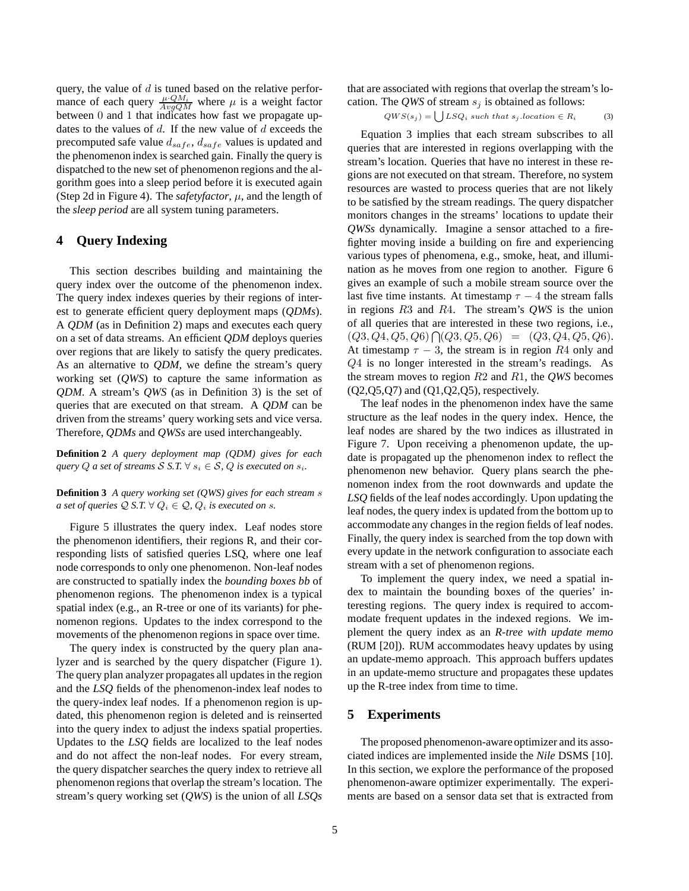query, the value of  $d$  is tuned based on the relative performance of each query  $\frac{\mu \cdot Q M_i}{AvgQM}$  where  $\mu$  is a weight factor between 0 and 1 that indicates how fast we propagate updates to the values of  $d$ . If the new value of  $d$  exceeds the precomputed safe value  $d_{safe}$ ,  $d_{safe}$  values is updated and the phenomenon index is searched gain. Finally the query is dispatched to the new set of phenomenon regions and the algorithm goes into a sleep period before it is executed again (Step 2d in Figure 4). The *safetyfactor*,  $\mu$ , and the length of the *sleep period* are all system tuning parameters.

## **4 Query Indexing**

This section describes building and maintaining the query index over the outcome of the phenomenon index. The query index indexes queries by their regions of interest to generate efficient query deployment maps (*QDMs*). A *QDM* (as in Definition 2) maps and executes each query on a set of data streams. An efficient *QDM* deploys queries over regions that are likely to satisfy the query predicates. As an alternative to *QDM*, we define the stream's query working set (*QWS*) to capture the same information as *QDM*. A stream's *QWS* (as in Definition 3) is the set of queries that are executed on that stream. A *QDM* can be driven from the streams' query working sets and vice versa. Therefore, *QDMs* and *QWSs* are used interchangeably.

**Definition 2** *A query deployment map (QDM) gives for each guery* Q *a set of streams*  $S$  *S.T.*  $\forall s_i \in S$ *, Q is executed on*  $s_i$ *.* 

**Definition 3** *A query working set (QWS) gives for each stream* s *a set of queries*  $\mathcal{Q}$  *S.T.*  $\forall$   $Q_i \in \mathcal{Q}$ ,  $Q_i$  *is executed on s.* 

Figure 5 illustrates the query index. Leaf nodes store the phenomenon identifiers, their regions R, and their corresponding lists of satisfied queries LSQ, where one leaf node corresponds to only one phenomenon. Non-leaf nodes are constructed to spatially index the *bounding boxes bb* of phenomenon regions. The phenomenon index is a typical spatial index (e.g., an R-tree or one of its variants) for phenomenon regions. Updates to the index correspond to the movements of the phenomenon regions in space over time.

The query index is constructed by the query plan analyzer and is searched by the query dispatcher (Figure 1). The query plan analyzer propagates all updates in the region and the *LSQ* fields of the phenomenon-index leaf nodes to the query-index leaf nodes. If a phenomenon region is updated, this phenomenon region is deleted and is reinserted into the query index to adjust the indexs spatial properties. Updates to the *LSQ* fields are localized to the leaf nodes and do not affect the non-leaf nodes. For every stream, the query dispatcher searches the query index to retrieve all phenomenon regions that overlap the stream's location. The stream's query working set (*QWS*) is the union of all *LSQs*

that are associated with regions that overlap the stream's location. The *QWS* of stream  $s_i$  is obtained as follows:

$$
QWS(s_j) = \bigcup LSQ_i \text{ such that } s_j \text{.location} \in R_i \tag{3}
$$

Equation 3 implies that each stream subscribes to all queries that are interested in regions overlapping with the stream's location. Queries that have no interest in these regions are not executed on that stream. Therefore, no system resources are wasted to process queries that are not likely to be satisfied by the stream readings. The query dispatcher monitors changes in the streams' locations to update their *QWSs* dynamically. Imagine a sensor attached to a firefighter moving inside a building on fire and experiencing various types of phenomena, e.g., smoke, heat, and illumination as he moves from one region to another. Figure 6 gives an example of such a mobile stream source over the last five time instants. At timestamp  $\tau - 4$  the stream falls in regions R3 and R4. The stream's *QWS* is the union of all queries that are interested in these two regions, i.e.,  $(Q3, Q4, Q5, Q6) \bigcap (Q3, Q5, Q6) = (Q3, Q4, Q5, Q6).$ At timestamp  $\tau - 3$ , the stream is in region R4 only and Q4 is no longer interested in the stream's readings. As the stream moves to region R2 and R1, the *QWS* becomes  $(Q2,Q5,Q7)$  and  $(Q1,Q2,Q5)$ , respectively.

The leaf nodes in the phenomenon index have the same structure as the leaf nodes in the query index. Hence, the leaf nodes are shared by the two indices as illustrated in Figure 7. Upon receiving a phenomenon update, the update is propagated up the phenomenon index to reflect the phenomenon new behavior. Query plans search the phenomenon index from the root downwards and update the *LSQ* fields of the leaf nodes accordingly. Upon updating the leaf nodes, the query index is updated from the bottom up to accommodate any changes in the region fields of leaf nodes. Finally, the query index is searched from the top down with every update in the network configuration to associate each stream with a set of phenomenon regions.

To implement the query index, we need a spatial index to maintain the bounding boxes of the queries' interesting regions. The query index is required to accommodate frequent updates in the indexed regions. We implement the query index as an *R-tree with update memo* (RUM [20]). RUM accommodates heavy updates by using an update-memo approach. This approach buffers updates in an update-memo structure and propagates these updates up the R-tree index from time to time.

### **5 Experiments**

The proposed phenomenon-aware optimizer and its associated indices are implemented inside the *Nile* DSMS [10]. In this section, we explore the performance of the proposed phenomenon-aware optimizer experimentally. The experiments are based on a sensor data set that is extracted from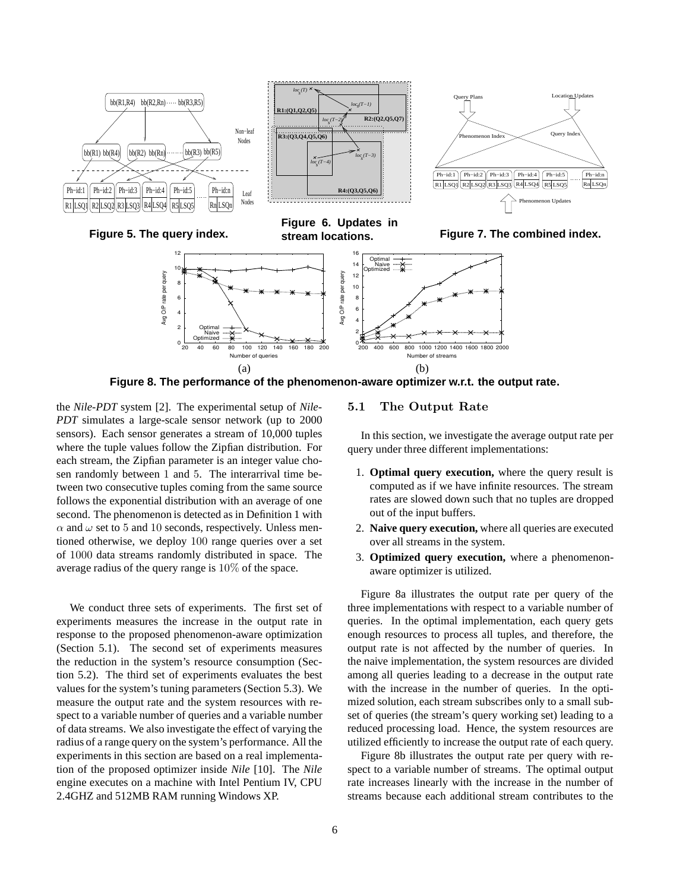

**Figure 8. The performance of the phenomenon-aware optimizer w.r.t. the output rate.**

the *Nile-PDT* system [2]. The experimental setup of *Nile-PDT* simulates a large-scale sensor network (up to 2000 sensors). Each sensor generates a stream of 10,000 tuples where the tuple values follow the Zipfian distribution. For each stream, the Zipfian parameter is an integer value chosen randomly between 1 and 5. The interarrival time between two consecutive tuples coming from the same source follows the exponential distribution with an average of one second. The phenomenon is detected as in Definition 1 with  $\alpha$  and  $\omega$  set to 5 and 10 seconds, respectively. Unless mentioned otherwise, we deploy 100 range queries over a set of 1000 data streams randomly distributed in space. The average radius of the query range is 10% of the space.

We conduct three sets of experiments. The first set of experiments measures the increase in the output rate in response to the proposed phenomenon-aware optimization (Section 5.1). The second set of experiments measures the reduction in the system's resource consumption (Section 5.2). The third set of experiments evaluates the best values for the system's tuning parameters (Section 5.3). We measure the output rate and the system resources with respect to a variable number of queries and a variable number of data streams. We also investigate the effect of varying the radius of a range query on the system's performance. All the experiments in this section are based on a real implementation of the proposed optimizer inside *Nile* [10]. The *Nile* engine executes on a machine with Intel Pentium IV, CPU 2.4GHZ and 512MB RAM running Windows XP.

## 5.1 The Output Rate

In this section, we investigate the average output rate per query under three different implementations:

- 1. **Optimal query execution,** where the query result is computed as if we have infinite resources. The stream rates are slowed down such that no tuples are dropped out of the input buffers.
- 2. **Naive query execution,** where all queries are executed over all streams in the system.
- 3. **Optimized query execution,** where a phenomenonaware optimizer is utilized.

Figure 8a illustrates the output rate per query of the three implementations with respect to a variable number of queries. In the optimal implementation, each query gets enough resources to process all tuples, and therefore, the output rate is not affected by the number of queries. In the naive implementation, the system resources are divided among all queries leading to a decrease in the output rate with the increase in the number of queries. In the optimized solution, each stream subscribes only to a small subset of queries (the stream's query working set) leading to a reduced processing load. Hence, the system resources are utilized efficiently to increase the output rate of each query.

Figure 8b illustrates the output rate per query with respect to a variable number of streams. The optimal output rate increases linearly with the increase in the number of streams because each additional stream contributes to the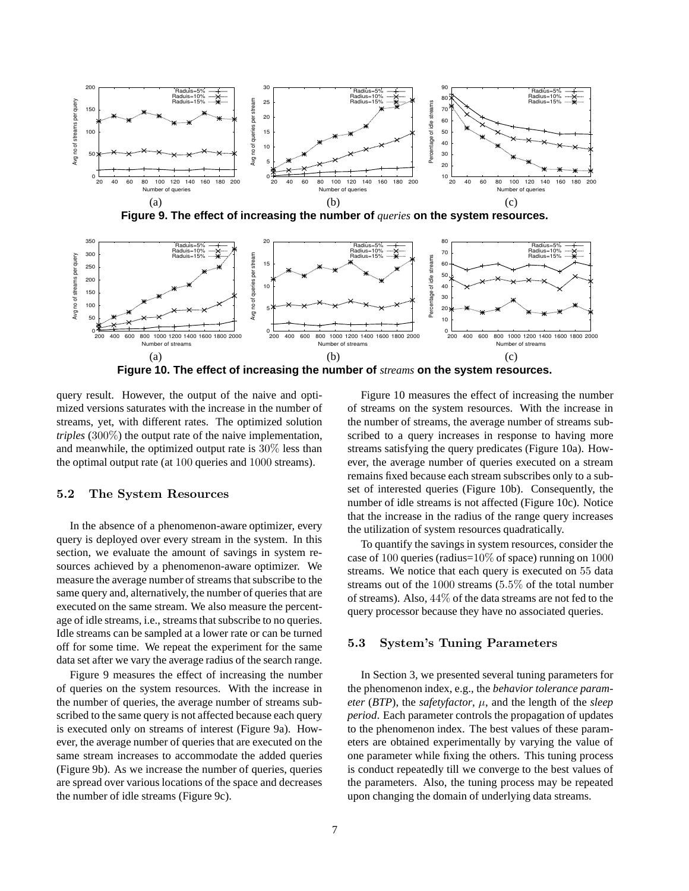

query result. However, the output of the naive and optimized versions saturates with the increase in the number of streams, yet, with different rates. The optimized solution *triples* (300%) the output rate of the naive implementation, and meanwhile, the optimized output rate is 30% less than the optimal output rate (at 100 queries and 1000 streams).

### 5.2 The System Resources

In the absence of a phenomenon-aware optimizer, every query is deployed over every stream in the system. In this section, we evaluate the amount of savings in system resources achieved by a phenomenon-aware optimizer. We measure the average number of streams that subscribe to the same query and, alternatively, the number of queries that are executed on the same stream. We also measure the percentage of idle streams, i.e., streams that subscribe to no queries. Idle streams can be sampled at a lower rate or can be turned off for some time. We repeat the experiment for the same data set after we vary the average radius of the search range.

Figure 9 measures the effect of increasing the number of queries on the system resources. With the increase in the number of queries, the average number of streams subscribed to the same query is not affected because each query is executed only on streams of interest (Figure 9a). However, the average number of queries that are executed on the same stream increases to accommodate the added queries (Figure 9b). As we increase the number of queries, queries are spread over various locations of the space and decreases the number of idle streams (Figure 9c).

Figure 10 measures the effect of increasing the number of streams on the system resources. With the increase in the number of streams, the average number of streams subscribed to a query increases in response to having more streams satisfying the query predicates (Figure 10a). However, the average number of queries executed on a stream remains fixed because each stream subscribes only to a subset of interested queries (Figure 10b). Consequently, the number of idle streams is not affected (Figure 10c). Notice that the increase in the radius of the range query increases the utilization of system resources quadratically.

To quantify the savings in system resources, consider the case of 100 queries (radius=10% of space) running on 1000 streams. We notice that each query is executed on 55 data streams out of the 1000 streams (5.5% of the total number of streams). Also, 44% of the data streams are not fed to the query processor because they have no associated queries.

## 5.3 System's Tuning Parameters

In Section 3, we presented several tuning parameters for the phenomenon index, e.g., the *behavior tolerance parameter* (*BTP*), the *safetyfactor*,  $\mu$ , and the length of the *sleep period*. Each parameter controls the propagation of updates to the phenomenon index. The best values of these parameters are obtained experimentally by varying the value of one parameter while fixing the others. This tuning process is conduct repeatedly till we converge to the best values of the parameters. Also, the tuning process may be repeated upon changing the domain of underlying data streams.